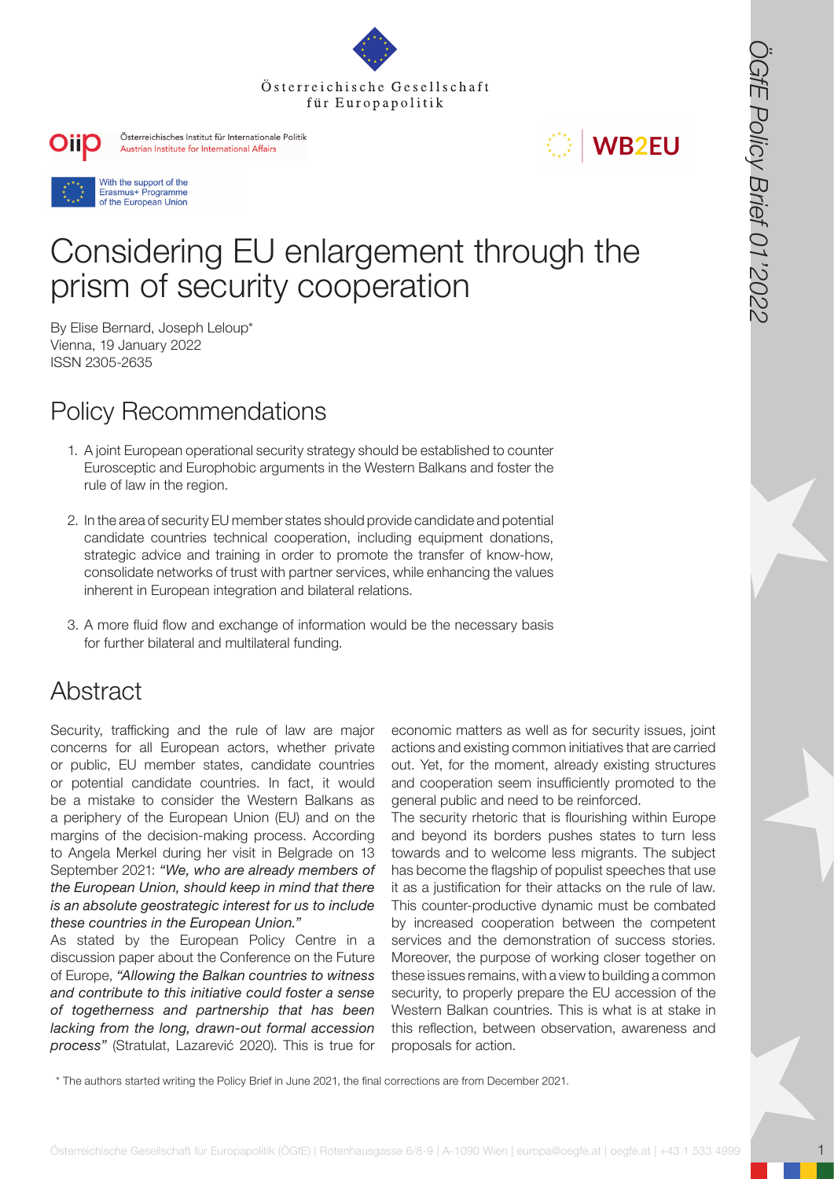







# Considering EU enlargement through the prism of security cooperation

By Elise Bernard, Joseph Leloup\* Vienna, 19 January 2022 ISSN 2305-2635

# Policy Recommendations

- 1. A joint European operational security strategy should be established to counter Eurosceptic and Europhobic arguments in the Western Balkans and foster the rule of law in the region.
- 2. In the area of security EU member states should provide candidate and potential candidate countries technical cooperation, including equipment donations, strategic advice and training in order to promote the transfer of know-how, consolidate networks of trust with partner services, while enhancing the values inherent in European integration and bilateral relations.
- 3. A more fluid flow and exchange of information would be the necessary basis for further bilateral and multilateral funding.

# Abstract

Security, trafficking and the rule of law are major concerns for all European actors, whether private or public, EU member states, candidate countries or potential candidate countries. In fact, it would be a mistake to consider the Western Balkans as a periphery of the European Union (EU) and on the margins of the decision-making process. According to Angela Merkel during her visit in Belgrade on 13 September 2021: *"We, who are already members of the European Union, should keep in mind that there is an absolute geostrategic interest for us to include these countries in the European Union."*

As stated by the European Policy Centre in a discussion paper about the Conference on the Future of Europe, *"Allowing the Balkan countries to witness and contribute to this initiative could foster a sense of togetherness and partnership that has been lacking from the long, drawn-out formal accession process"* (Stratulat, Lazarević 2020). This is true for economic matters as well as for security issues, joint actions and existing common initiatives that are carried out. Yet, for the moment, already existing structures and cooperation seem insufficiently promoted to the general public and need to be reinforced.

**OSTEP Exterreichische Gesellschaft**<br>
Consideration of Europa Consideration of Europa Consideration of Europa Consideration of Europa Consideration of Europa Consideration of Europa Consideration of Europa Consideration of The security rhetoric that is flourishing within Europe and beyond its borders pushes states to turn less towards and to welcome less migrants. The subject has become the flagship of populist speeches that use it as a justification for their attacks on the rule of law. This counter-productive dynamic must be combated by increased cooperation between the competent services and the demonstration of success stories. Moreover, the purpose of working closer together on these issues remains, with a view to building a common security, to properly prepare the EU accession of the Western Balkan countries. This is what is at stake in this reflection, between observation, awareness and proposals for action.

\* The authors started writing the Policy Brief in June 2021, the final corrections are from December 2021.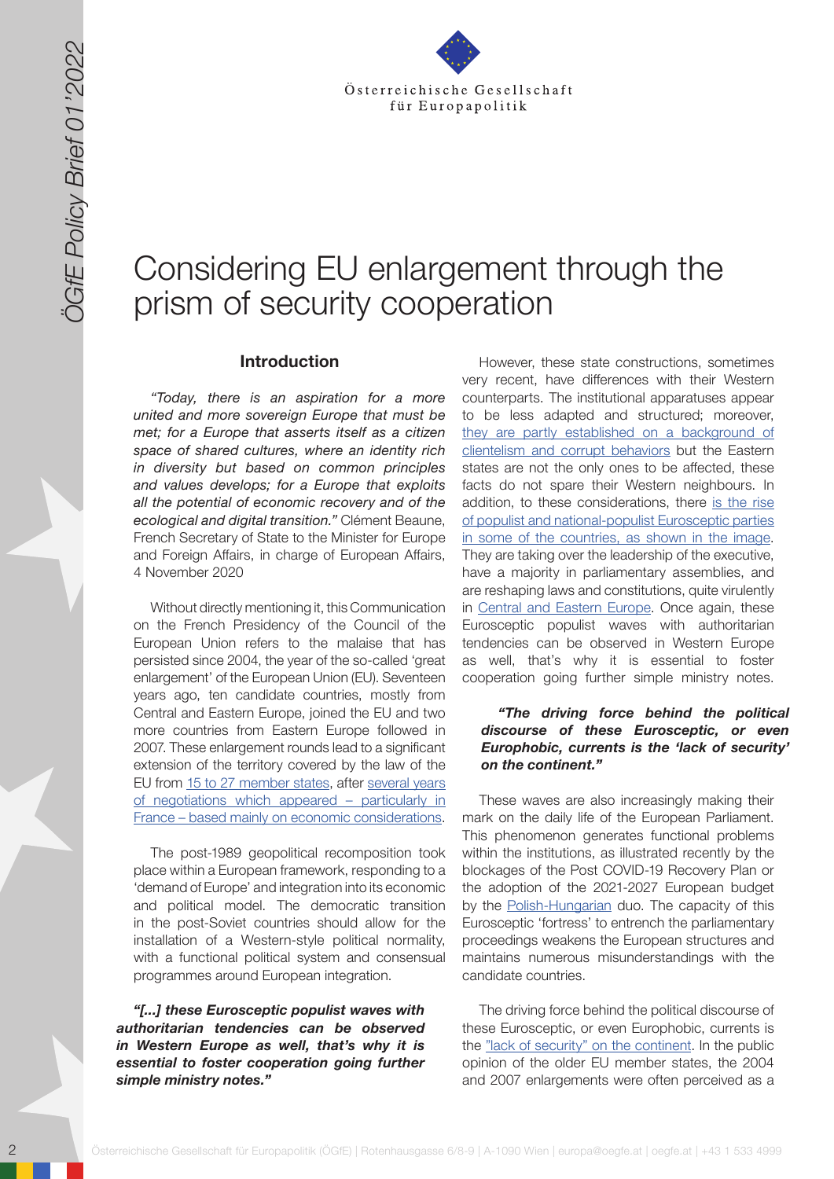

# Considering EU enlargement through the prism of security cooperation

#### **Introduction**

*"Today, there is an aspiration for a more united and more sovereign Europe that must be met; for a Europe that asserts itself as a citizen space of shared cultures, where an identity rich in diversity but based on common principles and values develops; for a Europe that exploits all the potential of economic recovery and of the ecological and digital transition."* Clément Beaune, French Secretary of State to the Minister for Europe and Foreign Affairs, in charge of European Affairs, 4 November 2020

Without directly mentioning it, this Communication on the French Presidency of the Council of the European Union refers to the malaise that has persisted since 2004, the year of the so-called 'great enlargement' of the European Union (EU). Seventeen years ago, ten candidate countries, mostly from Central and Eastern Europe, joined the EU and two more countries from Eastern Europe followed in 2007. These enlargement rounds lead to a significant extension of the territory covered by the law of the EU from 15 [to 27 member states](https://www.touteleurope.eu/fonctionnement-de-l-ue/les-elargissements-de-l-union-europeenne-de-6-a-27-etats-membres/), after [several years](https://eur-lex.europa.eu/legal-content/FR/TXT/HTML/?uri=LEGISSUM:e50017&from=EN) [of negotiations which appeared – particularly in](https://eur-lex.europa.eu/legal-content/FR/TXT/HTML/?uri=LEGISSUM:e50017&from=EN) [France – based mainly on economic considerations](https://eur-lex.europa.eu/legal-content/FR/TXT/HTML/?uri=LEGISSUM:e50017&from=EN).

The post-1989 geopolitical recomposition took place within a European framework, responding to a 'demand of Europe' and integration into its economic and political model. The democratic transition in the post-Soviet countries should allow for the installation of a Western-style political normality, with a functional political system and consensual programmes around European integration.

*"[...] these Eurosceptic populist waves with authoritarian tendencies can be observed in Western Europe as well, that's why it is essential to foster cooperation going further simple ministry notes."*

2)<br>
2) OONSIGEring EU enlargement through the state and are at the state of the state and the state and the state and the state of the state of the state and the state of the state of the state of the state of the state of However, these state constructions, sometimes very recent, have differences with their Western counterparts. The institutional apparatuses appear to be less adapted and structured; moreover, [they are partly established on a background of](https://wsimag.com/fr/economie-et-politique/62338-la-corruption-arme-de-destruction-de-letat-democratique)  [clientelism and corrupt behaviors](https://wsimag.com/fr/economie-et-politique/62338-la-corruption-arme-de-destruction-de-letat-democratique) but the Eastern states are not the only ones to be affected, these facts do not spare their Western neighbours. In addition, to these considerations, there [is the rise](https://www.cairn.info/revue-internationale-et-strategique-2011-4-page-16.htm)  [of populist and national-populist Eurosceptic parties](https://www.cairn.info/revue-internationale-et-strategique-2011-4-page-16.htm)  [in some of the countries, as shown in the image.](https://www.cairn.info/revue-internationale-et-strategique-2011-4-page-16.htm) They are taking over the leadership of the executive, have a majority in parliamentary assemblies, and are reshaping laws and constitutions, quite virulently in [Central and Eastern Europe.](https://www.lepoint.fr/monde/la-hongrie-d-orban-huit-ans-de-reformes-controversees-11-09-2018-2250152_24.php) Once again, these Eurosceptic populist waves with authoritarian tendencies can be observed in Western Europe as well, that's why it is essential to foster cooperation going further simple ministry notes.

#### *"The driving force behind the political discourse of these Eurosceptic, or even Europhobic, currents is the 'lack of security' on the continent."*

These waves are also increasingly making their mark on the daily life of the European Parliament. This phenomenon generates functional problems within the institutions, as illustrated recently by the blockages of the Post COVID-19 Recovery Plan or the adoption of the 2021-2027 European budget by the [Polish-Hungarian](https://uploads-ssl.webflow.com/594919aeb0d3db0e7a726347/5fae41a8b755ad766e542c3c_NL EuropaNova 12.11.pdf) duo. The capacity of this Eurosceptic 'fortress' to entrench the parliamentary proceedings weakens the European structures and maintains numerous misunderstandings with the candidate countries.

The driving force behind the political discourse of these Eurosceptic, or even Europhobic, currents is the ["lack of security" on the continent.](https://hongrieactuelle.wordpress.com/2015/11/18/orban-immigration-menace-aussi-securite-hongrie/) In the public opinion of the older EU member states, the 2004 and 2007 enlargements were often perceived as a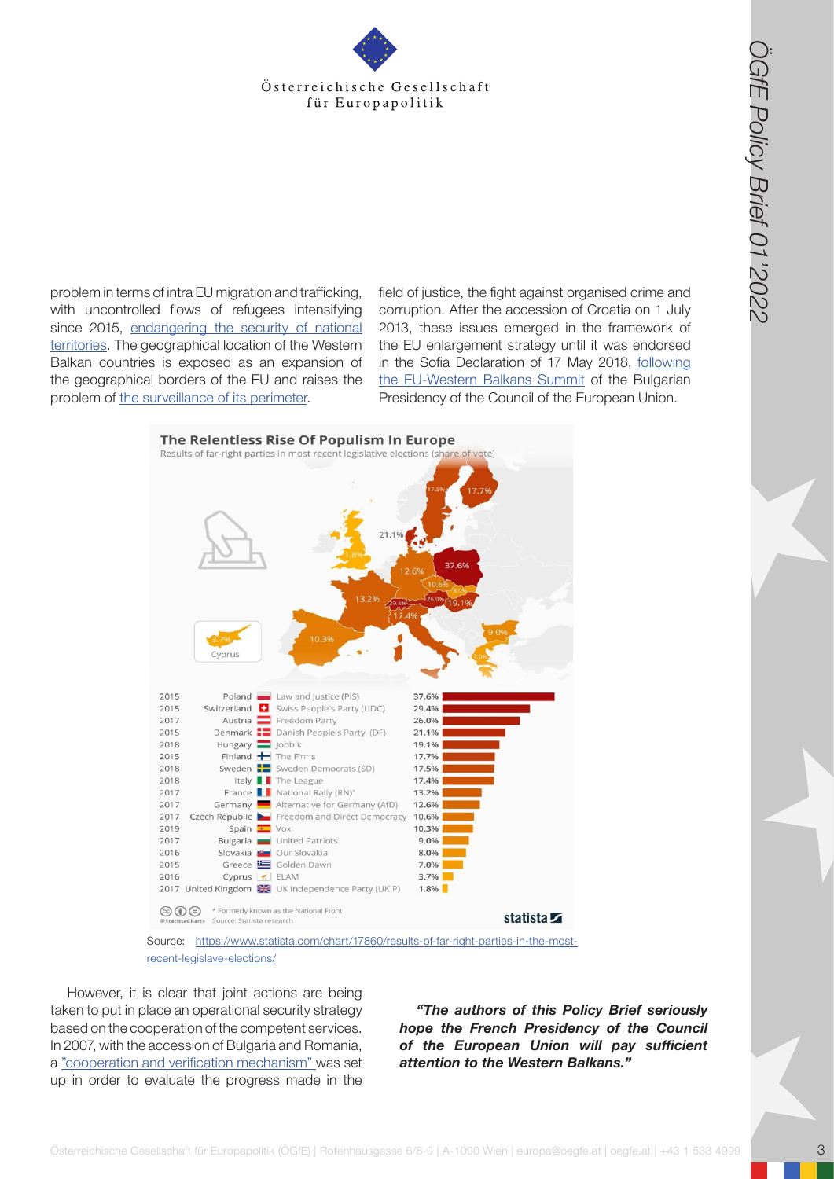problem in terms of intra EU migration and trafficking, with uncontrolled flows of refugees intensifying since 2015, [endangering the security of national](https://rassemblementnational.fr/telecharger/publications/Livre Blanc - Secu_FUSION_OKBAT_STC.pdf)  [territories](https://rassemblementnational.fr/telecharger/publications/Livre Blanc - Secu_FUSION_OKBAT_STC.pdf). The geographical location of the Western Balkan countries is exposed as an expansion of the geographical borders of the EU and raises the problem of [the surveillance of its perimeter](https://www.robert-schuman.eu/fr/questions-d-europe/0311-2004-2014-bilan-d-une-decennie-d-elargissements).

field of justice, the fight against organised crime and corruption. After the accession of Croatia on 1 July 2013, these issues emerged in the framework of the EU enlargement strategy until it was endorsed in the Sofia Declaration of 17 May 2018, [following](https://www.consilium.europa.eu/media/34776/sofia-declaration_en.pdf) [the EU-Western Balkans Summit](https://www.consilium.europa.eu/media/34776/sofia-declaration_en.pdf) of the Bulgarian Presidency of the Council of the European Union.



[recent-legislave-elections/](https://www.statista.com/chart/17860/results-of-far-right-parties-in-the-most-recent-legislave-elect)

However, it is clear that joint actions are being taken to put in place an operational security strategy based on the cooperation of the competent services. In 2007, with the accession of Bulgaria and Romania, a ["cooperation and verification mechanism"](https://ec.europa.eu/info/policies/justice-and-fundamental-rights/upholding-rule-law/rule-law/assistance-bulgaria-and-romania-under-cvm/cooperation-and-verification-mechanism-bulgaria-and-romania_en) was set up in order to evaluate the progress made in the

*"The authors of this Policy Brief seriously hope the French Presidency of the Council of the European Union will pay sufficient attention to the Western Balkans."*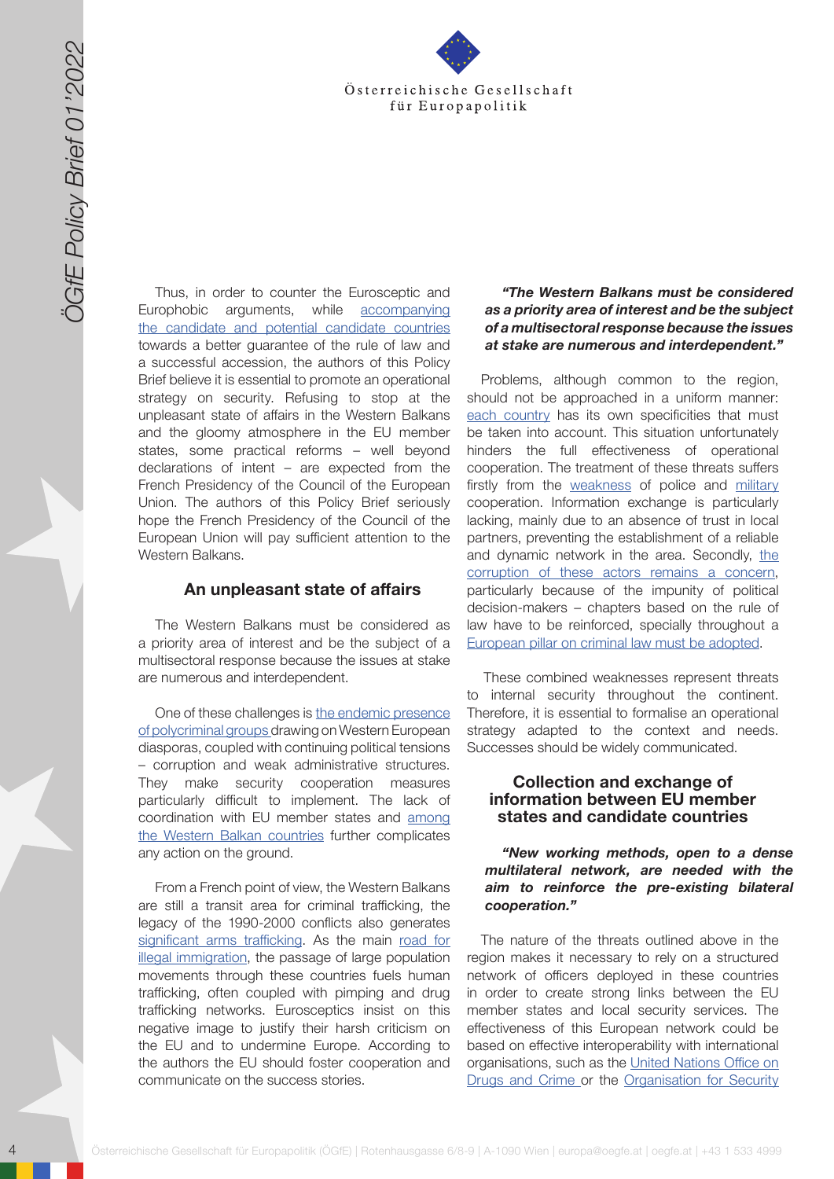

Thus, in order to counter the Eurosceptic and Europhobic arguments, while [accompanying](https://www.touteleurope.eu/fonctionnement-de-l-ue/turquie-albanie-macedoine-du-nord-ou-en-sont-les-pays-candidats-a-l-elargissement/) [the candidate and potential candidate countries](https://www.touteleurope.eu/fonctionnement-de-l-ue/turquie-albanie-macedoine-du-nord-ou-en-sont-les-pays-candidats-a-l-elargissement/) towards a better guarantee of the rule of law and a successful accession, the authors of this Policy Brief believe it is essential to promote an operational strategy on security. Refusing to stop at the unpleasant state of affairs in the Western Balkans and the gloomy atmosphere in the EU member states, some practical reforms – well beyond declarations of intent – are expected from the French Presidency of the Council of the European Union. The authors of this Policy Brief seriously hope the French Presidency of the Council of the European Union will pay sufficient attention to the Western Balkans.

#### **An unpleasant state of affairs**

The Western Balkans must be considered as a priority area of interest and be the subject of a multisectoral response because the issues at stake are numerous and interdependent.

One of these challenges is [the endemic presence](https://creogn.centredoc.fr/doc_num.php?explnum_id=11) [of polycriminal groups](https://creogn.centredoc.fr/doc_num.php?explnum_id=11) drawing on Western European diasporas, coupled with continuing political tensions – corruption and weak administrative structures. They make security cooperation measures particularly difficult to implement. The lack of coordination with EU member states and [among](http://dx.doi.org/10.19044/esj.2016.v12n19p204) [the Western Balkan countries](http://dx.doi.org/10.19044/esj.2016.v12n19p204) further complicates any action on the ground.

From a French point of view, the Western Balkans are still a transit area for criminal trafficking, the legacy of the 1990-2000 conflicts also generates [significant arms trafficking](http://www.opex360.com/2018/12/11/pour-paris-le-trafic-darmes-dans-les-balkans-est-toujours-une-menace-majeure-pour-la-securite-europeenne/). As the main [road for](https://www.cairn.info/revue-hommes-et-migrations-2020-1-page-27.htm) [illegal immigration](https://www.cairn.info/revue-hommes-et-migrations-2020-1-page-27.htm), the passage of large population movements through these countries fuels human trafficking, often coupled with pimping and drug trafficking networks. Eurosceptics insist on this negative image to justify their harsh criticism on the EU and to undermine Europe. According to the authors the EU should foster cooperation and communicate on the success stories.

### *"The Western Balkans must be considered as a priority area of interest and be the subject of a multisectoral response because the issues at stake are numerous and interdependent."*

4 Gesellschaft für Europapolitik meist Gesellschaft für Europapolitik (ÖGfE) | Rotenhausgasse 6/8-9 | A-1090 Wien | Rotenhausgasse 6/8-9 | A-1090 Wien | Europapolitik (ÖGfE) | Rotenhausgasse 6/8-9 | A-1090 Wien | Europapol Problems, although common to the region, should not be approached in a uniform manner: [each country](https://journals.openedition.org/diasporas/321) has its own specificities that must be taken into account. This situation unfortunately hinders the full effectiveness of operational cooperation. The treatment of these threats suffers firstly from the [weakness](https://www.researchgate.net/publication/325976451_The_present_and_the_future_of_cross_border_police_and_customs_information_exchange_between_the_EU_and_the_Western_Balkan_region) of police and [military](http://www.opex360.com/2021/05/07/un-projet-visant-a-doter-lunion-europeenne-dune-force-de-reaction-rapide-refait-surface/) cooperation. Information exchange is particularly lacking, mainly due to an absence of trust in local partners, preventing the establishment of a reliable and dynamic network in [the](https://www.transparency.org/en/projects/grand-corruption-western-balkans-and-turkey) area. Secondly, the [corruption of these actors remains a concern](https://www.transparency.org/en/projects/grand-corruption-western-balkans-and-turkey), particularly because of the impunity of political decision-makers – chapters based on the rule of law have to be reinforced, specially throughout a [European pillar on criminal law must be adopted](https://brill.com/previewpdf/journals/eccl/11/1/article-p131_7.xml).

These combined weaknesses represent threats to internal security throughout the continent. Therefore, it is essential to formalise an operational strategy adapted to the context and needs. Successes should be widely communicated.

### **Collection and exchange of information between EU member states and candidate countries**

#### *"New working methods, open to a dense multilateral network, are needed with the aim to reinforce the pre-existing bilateral cooperation."*

The nature of the threats outlined above in the region makes it necessary to rely on a structured network of officers deployed in these countries in order to create strong links between the EU member states and local security services. The effectiveness of this European network could be based on effective interoperability with international organisations, such as the [United Nations Office on](https://www.unodc.org/unodc/en/frontpage/2020/December/unodc-launches-comprehensive-regional-report-on-organized-crime-in-the-western-balkans.html) [Drugs and Crime](https://www.unodc.org/unodc/en/frontpage/2020/December/unodc-launches-comprehensive-regional-report-on-organized-crime-in-the-western-balkans.html) or the [Organisation for Security](https://link.springer.com/chapter/10.1007/978-3-030-42775-7_6)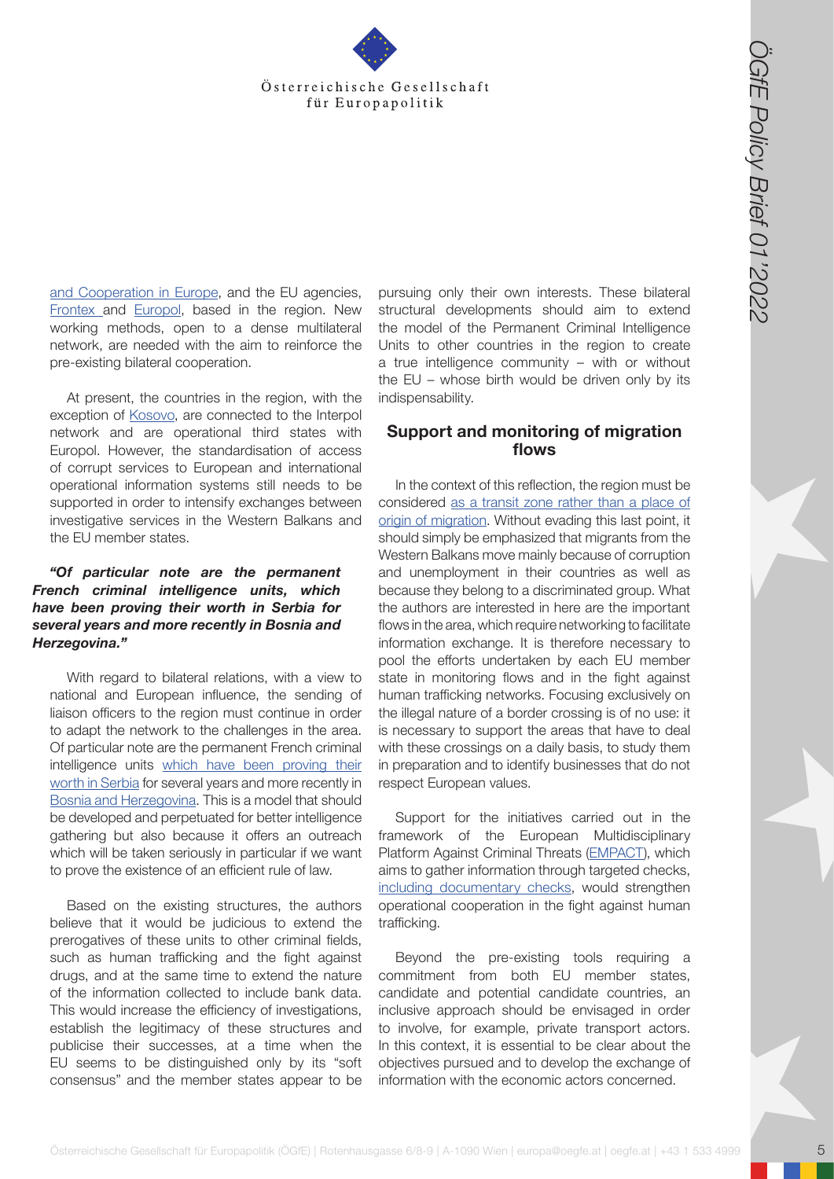

[and Cooperation in Europe,](https://link.springer.com/chapter/10.1007/978-3-030-42775-7_6) and the EU agencies, [Frontex](https://frontex.europa.eu/we-support/main-operations/operations-in-the-western-balkans/) and [Europol](https://eur-lex.europa.eu/legal-content/EN/TXT/?uri=COM%3A2020%3A608%3AFIN), based in the region. New working methods, open to a dense multilateral network, are needed with the aim to reinforce the pre-existing bilateral cooperation.

At present, the countries in the region, with the exception of [Kosovo,](https://www.lefigaro.fr/flash-actu/2018/11/20/97001-20181120FILWWW00179-interpol-la-candidature-du-kosovo-de-nouveau-rejetee.php) are connected to the Interpol network and are operational third states with Europol. However, the standardisation of access of corrupt services to European and international operational information systems still needs to be supported in order to intensify exchanges between investigative services in the Western Balkans and the EU member states.

### *"Of particular note are the permanent French criminal intelligence units, which have been proving their worth in Serbia for several years and more recently in Bosnia and Herzegovina."*

With regard to bilateral relations, with a view to national and European influence, the sending of liaison officers to the region must continue in order to adapt the network to the challenges in the area. Of particular note are the permanent French criminal intelligence units [which have been proving their](https://www.iris-france.org/wp-content/uploads/2016/12/Synth%C3%A8se-Compte-rendu-S%C3%A9minaire-du-24-janvier.pdf) [worth in Serbia](https://www.iris-france.org/wp-content/uploads/2016/12/Synth%C3%A8se-Compte-rendu-S%C3%A9minaire-du-24-janvier.pdf) for several years and more recently in [Bosnia and Herzegovina](https://me.ambafrance.org/IMG/pdf/04_26_note_technique_-_strategie_francaise_pour_les_balkans_occidentaux.pdf). This is a model that should be developed and perpetuated for better intelligence gathering but also because it offers an outreach which will be taken seriously in particular if we want to prove the existence of an efficient rule of law.

Based on the existing structures, the authors believe that it would be judicious to extend the prerogatives of these units to other criminal fields, such as human trafficking and the fight against drugs, and at the same time to extend the nature of the information collected to include bank data. This would increase the efficiency of investigations, establish the legitimacy of these structures and publicise their successes, at a time when the EU seems to be distinguished only by its "soft consensus" and the member states appear to be

pursuing only their own interests. These bilateral structural developments should aim to extend the model of the Permanent Criminal Intelligence Units to other countries in the region to create a true intelligence community – with or without the EU – whose birth would be driven only by its indispensability.

## **Support and monitoring of migration flows**

**Osterreichische Gesellschaft für Europapolitik für Europapolitik (Cffe) Europapolitik (Cffe) Europapolitik (Cffe) Europapolitik (Cffe) Europapolitik (Cffe) Europapolitik (Vffe) Europapolitik (Vffe) | Rote Booksterreichis** In the context of this reflection, the region must be considered [as a transit zone rather than a place of](https://www.coe.int/en/web/portal/-/two-western-balkan-countries-still-struggle-with-migration-flows-but-face-different-challenges)  [origin of migration](https://www.coe.int/en/web/portal/-/two-western-balkan-countries-still-struggle-with-migration-flows-but-face-different-challenges). Without evading this last point, it should simply be emphasized that migrants from the Western Balkans move mainly because of corruption and unemployment in their countries as well as because they belong to a discriminated group. What the authors are interested in here are the important flows in the area, which require networking to facilitate information exchange. It is therefore necessary to pool the efforts undertaken by each EU member state in monitoring flows and in the fight against human trafficking networks. Focusing exclusively on the illegal nature of a border crossing is of no use: it is necessary to support the areas that have to deal with these crossings on a daily basis, to study them in preparation and to identify businesses that do not respect European values.

Support for the initiatives carried out in the framework of the European Multidisciplinary Platform Against Criminal Threats ([EMPACT](https://ec.europa.eu/home-affairs/what-we-do/policies/law-enforcement-cooperation/operational-cooperation/empact_en)), which aims to gather information through targeted checks, [including documentary checks,](https://thinkproject.com/fr/blog/gestion-des-flux-documentaires/) would strengthen operational cooperation in the fight against human trafficking.

Beyond the pre-existing tools requiring a commitment from both EU member states, candidate and potential candidate countries, an inclusive approach should be envisaged in order to involve, for example, private transport actors. In this context, it is essential to be clear about the objectives pursued and to develop the exchange of information with the economic actors concerned.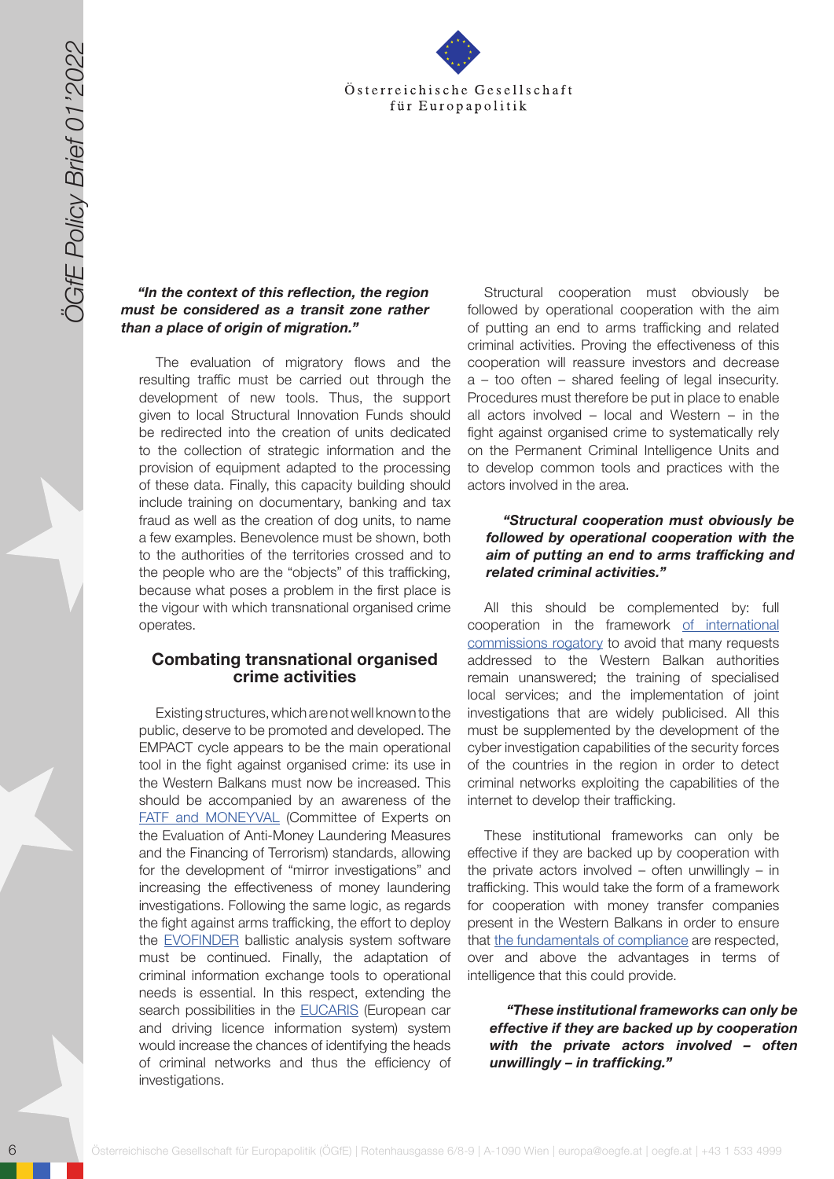

### *"In the context of this reflection, the region must be considered as a transit zone rather than a place of origin of migration."*

The evaluation of migratory flows and the resulting traffic must be carried out through the development of new tools. Thus, the support given to local Structural Innovation Funds should be redirected into the creation of units dedicated to the collection of strategic information and the provision of equipment adapted to the processing of these data. Finally, this capacity building should include training on documentary, banking and tax fraud as well as the creation of dog units, to name a few examples. Benevolence must be shown, both to the authorities of the territories crossed and to the people who are the "objects" of this trafficking, because what poses a problem in the first place is the vigour with which transnational organised crime operates.

#### **Combating transnational organised crime activities**

6 Solen Control Control Control Control Control Control Control Control Control Control Control Control Control Control Control Control Control Control Control Control Control Control Control Control Control Control Contro Existing structures, which are not well known to the public, deserve to be promoted and developed. The EMPACT cycle appears to be the main operational tool in the fight against organised crime: its use in the Western Balkans must now be increased. This should be accompanied by an awareness of the [FATF and MONEYVAL](https://www.fatf-gafi.org/pages/moneyval.html) (Committee of Experts on the Evaluation of Anti-Money Laundering Measures and the Financing of Terrorism) standards, allowing for the development of "mirror investigations" and increasing the effectiveness of money laundering investigations. Following the same logic, as regards the fight against arms trafficking, the effort to deploy the **[EVOFINDER](https://www.civipol.fr/en/projects/evofinder-semi-automated-ballistic-comparison-system)** ballistic analysis system software must be continued. Finally, the adaptation of criminal information exchange tools to operational needs is essential. In this respect, extending the search possibilities in the [EUCARIS](https://joinup.ec.europa.eu/collection/egovernment/document/eucaris-european-car-and-driving-licence-information-system-eucaris) (European car and driving licence information system) system would increase the chances of identifying the heads of criminal networks and thus the efficiency of investigations.

Structural cooperation must obviously be followed by operational cooperation with the aim of putting an end to arms trafficking and related criminal activities. Proving the effectiveness of this cooperation will reassure investors and decrease a – too often – shared feeling of legal insecurity. Procedures must therefore be put in place to enable all actors involved – local and Western – in the fight against organised crime to systematically rely on the Permanent Criminal Intelligence Units and to develop common tools and practices with the actors involved in the area.

#### *"Structural cooperation must obviously be followed by operational cooperation with the aim of putting an end to arms trafficking and related criminal activities."*

All this should be complemented by: full cooperation in the framework [of international](https://www.courdecassation.fr/la-cour-de-cassation) [commissions rogatory](https://www.courdecassation.fr/la-cour-de-cassation) to avoid that many requests addressed to the Western Balkan authorities remain unanswered; the training of specialised local services; and the implementation of joint investigations that are widely publicised. All this must be supplemented by the development of the cyber investigation capabilities of the security forces of the countries in the region in order to detect criminal networks exploiting the capabilities of the internet to develop their trafficking.

These institutional frameworks can only be effective if they are backed up by cooperation with the private actors involved – often unwillingly – in trafficking. This would take the form of a framework for cooperation with money transfer companies present in the Western Balkans in order to ensure that [the fundamentals of compliance](https://www.actu-juridique.fr/droit-de-la-regulation/le-droit-de-la-compliance-peut-contribuer-a-prevenir-les-crises-mondiales/) are respected, over and above the advantages in terms of intelligence that this could provide.

*"These institutional frameworks can only be effective if they are backed up by cooperation with the private actors involved – often unwillingly – in trafficking."*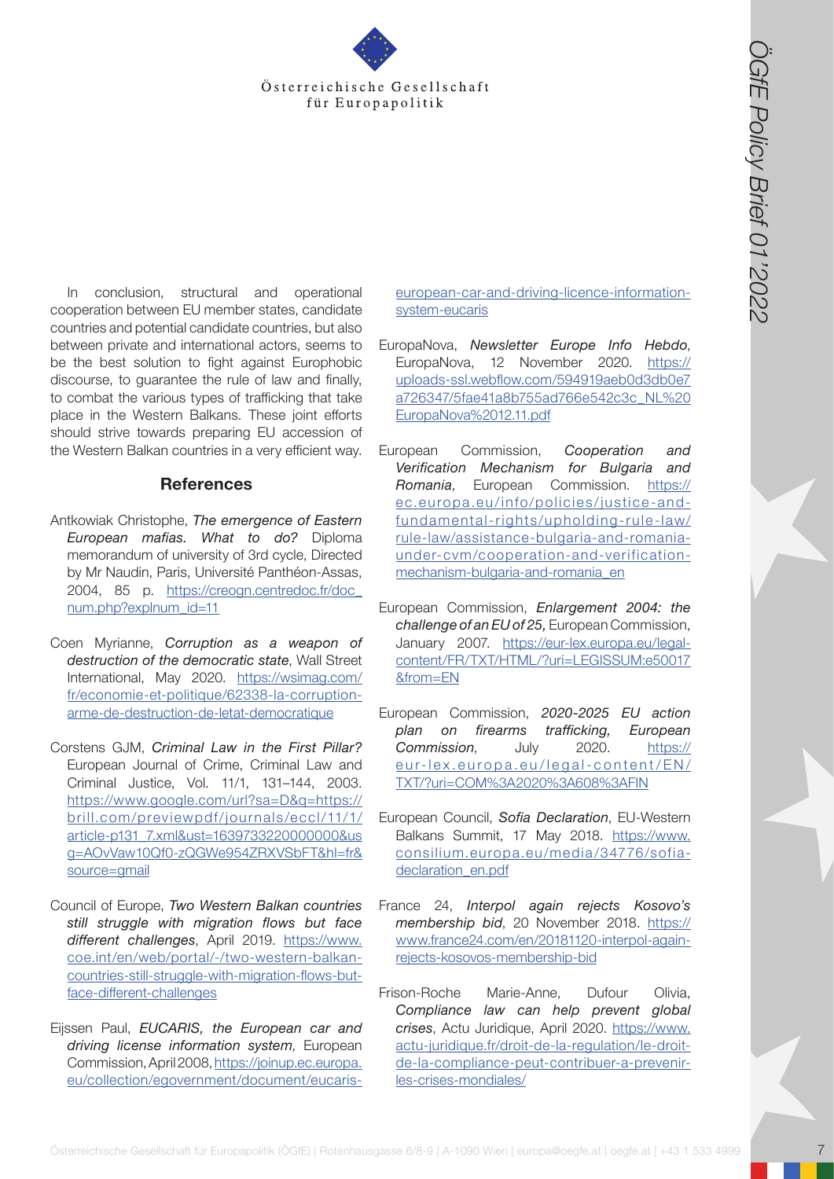

Österreichische Gesellschaft für Europapolitik († 18. 1897)<br>
The constraint in the statistical constraint in the statistical constraint in the statistical constraint in the statistical constraint in the statistical const In conclusion, structural and operational cooperation between EU member states, candidate countries and potential candidate countries, but also between private and international actors, seems to be the best solution to fight against Europhobic discourse, to guarantee the rule of law and finally, to combat the various types of trafficking that take place in the Western Balkans. These joint efforts should strive towards preparing EU accession of the Western Balkan countries in a very efficient way.

## **References**

- Antkowiak Christophe, *The emergence of Eastern European mafias. What to do?* Diploma memorandum of university of 3rd cycle, Directed by Mr Naudin, Paris, Université Panthéon-Assas, 2004, 85 p. [https://creogn.centredoc.fr/doc\\_](https://creogn.centredoc.fr/doc_num.php?explnum_id=11) [num.php?explnum\\_id=11](https://creogn.centredoc.fr/doc_num.php?explnum_id=11)
- Coen Myrianne, *Corruption as a weapon of destruction of the democratic state*, Wall Street International, May 2020. [https://wsimag.com/](https://wsimag.com/fr/economie-et-politique/62338-la-corruption-arme-de-destruction-de-letat-democra) [fr/economie-et-politique/62338-la-corruption](https://wsimag.com/fr/economie-et-politique/62338-la-corruption-arme-de-destruction-de-letat-democra)[arme-de-destruction-de-letat-democratique](https://wsimag.com/fr/economie-et-politique/62338-la-corruption-arme-de-destruction-de-letat-democra)
- Corstens GJM, *Criminal Law in the First Pillar?*  European Journal of Crime, Criminal Law and Criminal Justice, Vol. 11/1, 131–144, 2003. [https://www.google.com/url?sa=D&q=https://](https://www.google.com/url?sa=D&q=https://brill.com/previewpdf/journals/eccl/11/1/article-p131_7.xml) [brill.com/previewpdf/journals/eccl/11/1/](https://www.google.com/url?sa=D&q=https://brill.com/previewpdf/journals/eccl/11/1/article-p131_7.xml) [article-p131\\_7.xml&ust=1639733220000000&us](https://www.google.com/url?sa=D&q=https://brill.com/previewpdf/journals/eccl/11/1/article-p131_7.xml) [g=AOvVaw10Qf0-zQGWe954ZRXVSbFT&hl=fr&](https://www.google.com/url?sa=D&q=https://brill.com/previewpdf/journals/eccl/11/1/article-p131_7.xml) [source=gmail](https://www.google.com/url?sa=D&q=https://brill.com/previewpdf/journals/eccl/11/1/article-p131_7.xml)
- Council of Europe, *Two Western Balkan countries still struggle with migration flows but face different challenges*, April 2019. [https://www.](https://www.coe.int/en/web/portal/-/two-western-balkan-countries-still-struggle-with-migration-flows) [coe.int/en/web/portal/-/two-western-balkan](https://www.coe.int/en/web/portal/-/two-western-balkan-countries-still-struggle-with-migration-flows)[countries-still-struggle-with-migration-flows-but](https://www.coe.int/en/web/portal/-/two-western-balkan-countries-still-struggle-with-migration-flows)[face-different-challenges](https://www.coe.int/en/web/portal/-/two-western-balkan-countries-still-struggle-with-migration-flows)
- Eijssen Paul, *EUCARIS, the European car and driving license information system*, European Commission, April 2008, [https://joinup.ec.europa.](https://joinup.ec.europa.eu/collection/egovernment/document/eucaris-european-car-and-driving-licence-information-system-eucaris) [eu/collection/egovernment/document/eucaris-](https://joinup.ec.europa.eu/collection/egovernment/document/eucaris-european-car-and-driving-licence-information-system-eucaris)

[european-car-and-driving-licence-information](https://joinup.ec.europa.eu/collection/egovernment/document/eucaris-european-car-and-driving-licence-information-system-eucaris)[system-eucaris](https://joinup.ec.europa.eu/collection/egovernment/document/eucaris-european-car-and-driving-licence-information-system-eucaris)

- EuropaNova, *Newsletter Europe Info Hebdo*, EuropaNova, 12 November 2020. [https://](https://uploads-ssl.webflow.com/594919aeb0d3db0e7a726347/5fae41a8b755ad766e542c3c_NL%20EuropaNova%2012.11.pdf) [uploads-ssl.webflow.com/594919aeb0d3db0e7](https://uploads-ssl.webflow.com/594919aeb0d3db0e7a726347/5fae41a8b755ad766e542c3c_NL%20EuropaNova%2012.11.pdf) [a726347/5fae41a8b755ad766e542c3c\\_NL%20](https://uploads-ssl.webflow.com/594919aeb0d3db0e7a726347/5fae41a8b755ad766e542c3c_NL%20EuropaNova%2012.11.pdf) [EuropaNova%2012.11.pdf](https://uploads-ssl.webflow.com/594919aeb0d3db0e7a726347/5fae41a8b755ad766e542c3c_NL%20EuropaNova%2012.11.pdf)
- European Commission, *Cooperation and Verification Mechanism for Bulgaria and Romania*, European Commission. [https://](https://ec.europa.eu/info/policies/justice-and-fundamental-rights/upholding-rule-law/rule-law/assistance-bulgaria-and-romania-under-cvm/cooperation-and-verification-mechanism-bulgaria-and-romania_en) [ec.europa.eu/info/policies/justice-and](https://ec.europa.eu/info/policies/justice-and-fundamental-rights/upholding-rule-law/rule-law/assistance-bulgaria-and-romania-under-cvm/cooperation-and-verification-mechanism-bulgaria-and-romania_en)[fundamental-rights/upholding-rule-law/](https://ec.europa.eu/info/policies/justice-and-fundamental-rights/upholding-rule-law/rule-law/assistance-bulgaria-and-romania-under-cvm/cooperation-and-verification-mechanism-bulgaria-and-romania_en) [rule-law/assistance-bulgaria-and-romania](https://ec.europa.eu/info/policies/justice-and-fundamental-rights/upholding-rule-law/rule-law/assistance-bulgaria-and-romania-under-cvm/cooperation-and-verification-mechanism-bulgaria-and-romania_en)[under-cvm/cooperation-and-verification](https://ec.europa.eu/info/policies/justice-and-fundamental-rights/upholding-rule-law/rule-law/assistance-bulgaria-and-romania-under-cvm/cooperation-and-verification-mechanism-bulgaria-and-romania_en)[mechanism-bulgaria-and-romania\\_en](https://ec.europa.eu/info/policies/justice-and-fundamental-rights/upholding-rule-law/rule-law/assistance-bulgaria-and-romania-under-cvm/cooperation-and-verification-mechanism-bulgaria-and-romania_en)
- European Commission, *Enlargement 2004: the challenge of an EU of 25,* European Commission, January 2007. [https://eur-lex.europa.eu/legal](https://eur-lex.europa.eu/legal-content/FR/TXT/HTML/?uri=LEGISSUM:e50017&from=EN)[content/FR/TXT/HTML/?uri=LEGISSUM:e50017](https://eur-lex.europa.eu/legal-content/FR/TXT/HTML/?uri=LEGISSUM:e50017&from=EN) [&from=EN](https://eur-lex.europa.eu/legal-content/FR/TXT/HTML/?uri=LEGISSUM:e50017&from=EN)
- European Commission, *2020-2025 EU action plan on firearms trafficking, European Commission*, July 2020. [https://](https://eur-lex.europa.eu/legal-content/EN/TXT/?uri=COM%3A2020%3A608%3AFIN) [eur-lex.europa.eu/legal-content/EN/](https://eur-lex.europa.eu/legal-content/EN/TXT/?uri=COM%3A2020%3A608%3AFIN) [TXT/?uri=COM%3A2020%3A608%3AFIN](https://eur-lex.europa.eu/legal-content/EN/TXT/?uri=COM%3A2020%3A608%3AFIN)
- European Council, *Sofia Declaration*, EU-Western Balkans Summit, 17 May 2018. [https://www.](https://www.consilium.europa.eu/media/34776/sofia-declaration_en.pdf) [consilium.europa.eu/media/34776/sofia](https://www.consilium.europa.eu/media/34776/sofia-declaration_en.pdf)[declaration\\_en.pdf](https://www.consilium.europa.eu/media/34776/sofia-declaration_en.pdf)
- France 24, *Interpol again rejects Kosovo's membership bid*, 20 November 2018. [https://](https://www.france24.com/en/20181120-interpol-again-rejects-kosovos-membership-bid) [www.france24.com/en/20181120-interpol-again](https://www.france24.com/en/20181120-interpol-again-rejects-kosovos-membership-bid)[rejects-kosovos-membership-bid](https://www.france24.com/en/20181120-interpol-again-rejects-kosovos-membership-bid)
- Frison-Roche Marie-Anne, Dufour Olivia, *Compliance law can help prevent global crises*, Actu Juridique, April 2020. [https://www.](https://www.actu-juridique.fr/droit-de-la-regulation/le-droit-de-la-compliance-peut-contribuer-a-pre) [actu-juridique.fr/droit-de-la-regulation/le-droit](https://www.actu-juridique.fr/droit-de-la-regulation/le-droit-de-la-compliance-peut-contribuer-a-pre)[de-la-compliance-peut-contribuer-a-prevenir](https://www.actu-juridique.fr/droit-de-la-regulation/le-droit-de-la-compliance-peut-contribuer-a-pre)[les-crises-mondiales/](https://www.actu-juridique.fr/droit-de-la-regulation/le-droit-de-la-compliance-peut-contribuer-a-pre)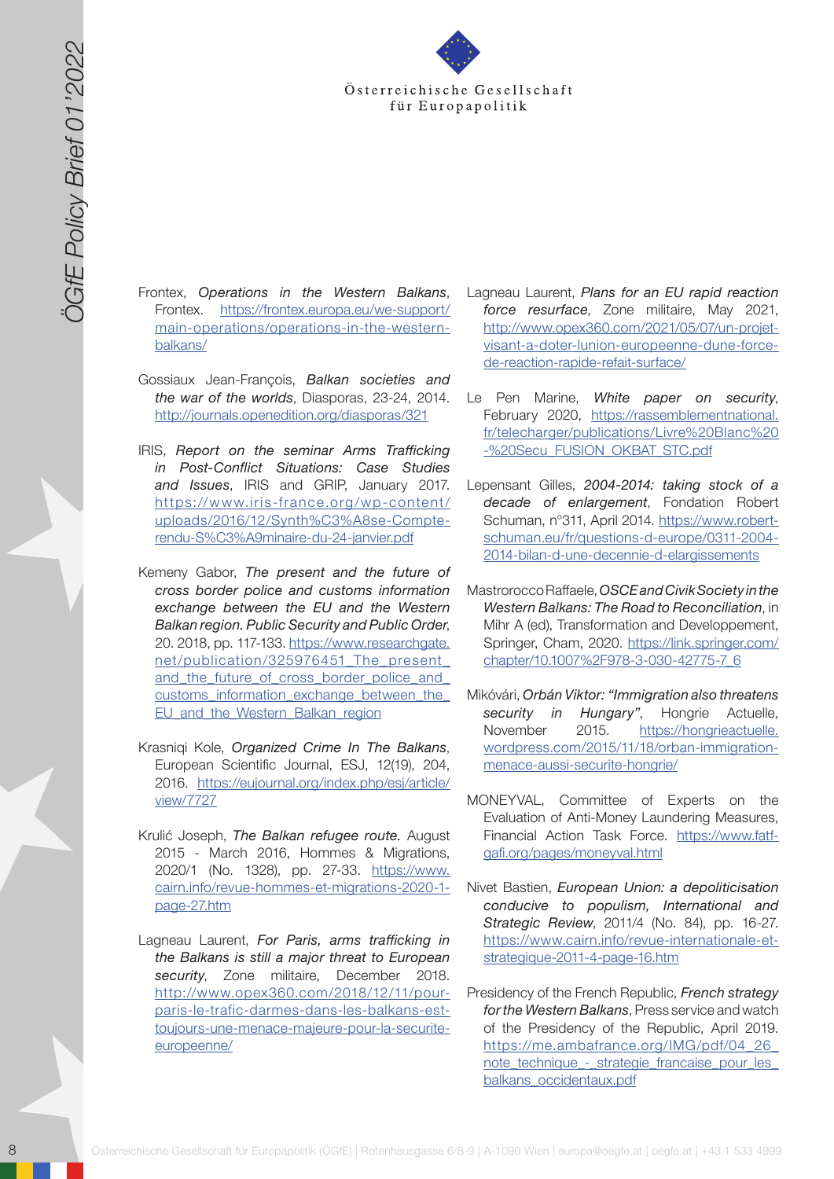

- Frontex, *Operations in the Western Balkans*, Frontex. [https://frontex.europa.eu/we-support/](https://frontex.europa.eu/we-support/main-operations/operations-in-the-western-balkans/) [main-operations/operations-in-the-western](https://frontex.europa.eu/we-support/main-operations/operations-in-the-western-balkans/)[balkans/](https://frontex.europa.eu/we-support/main-operations/operations-in-the-western-balkans/)
- Gossiaux Jean-François, *Balkan societies and the war of the worlds*, Diasporas, 23-24, 2014. <http://journals.openedition.org/diasporas/321>
- IRIS, *Report on the seminar Arms Trafficking in Post-Conflict Situations: Case Studies and Issues*, IRIS and GRIP, January 2017. [https://www.iris-france.org/wp-content/](https://www.iris-france.org/wp-content/uploads/2016/12/Synth%C3%A8se-Compte-rendu-S%C3%A9minaire-du-24-janvier.pdf) [uploads/2016/12/Synth%C3%A8se-Compte](https://www.iris-france.org/wp-content/uploads/2016/12/Synth%C3%A8se-Compte-rendu-S%C3%A9minaire-du-24-janvier.pdf)[rendu-S%C3%A9minaire-du-24-janvier.pdf](https://www.iris-france.org/wp-content/uploads/2016/12/Synth%C3%A8se-Compte-rendu-S%C3%A9minaire-du-24-janvier.pdf)
- 8 Solen (Context files context for europapolitic state of the state of the state of the state of the state of the state of the state of the state of the state of the state of the state of the state of the state of the stat Kemeny Gabor, *The present and the future of cross border police and customs information exchange between the EU and the Western Balkan region. Public Security and Public Order*, 20. 2018, pp. 117-133. [https://www.researchgate.](https://www.researchgate.net/publication/325976451_The_present_and_the_future_of_cross_border_police) [net/publication/325976451\\_The\\_present\\_](https://www.researchgate.net/publication/325976451_The_present_and_the_future_of_cross_border_police) and the future of cross border police and customs\_information\_exchange\_between\_the EU and the Western Balkan region
	- Krasniqi Kole, *Organized Crime In The Balkans*, European Scientific Journal, ESJ, 12(19), 204, 2016. [https://eujournal.org/index.php/esj/article/](https://eujournal.org/index.php/esj/article/view/7727) [view/7727](https://eujournal.org/index.php/esj/article/view/7727)
	- Krulić Joseph, *The Balkan refugee route.* August 2015 - March 2016, Hommes & Migrations, 2020/1 (No. 1328), pp. 27-33. [https://www.](https://www.cairn.info/revue-hommes-et-migrations-2020-1-page-27.htm ) [cairn.info/revue-hommes-et-migrations-2020-1](https://www.cairn.info/revue-hommes-et-migrations-2020-1-page-27.htm ) [page-27.htm](https://www.cairn.info/revue-hommes-et-migrations-2020-1-page-27.htm )
	- Lagneau Laurent, *For Paris, arms trafficking in the Balkans is still a major threat to European security*, Zone militaire, December 2018. [http://www.opex360.com/2018/12/11/pour](http://www.opex360.com/2018/12/11/pour-paris-le-trafic-darmes-dans-les-balkans-est-toujours-une-menace-majeure-pour-la-securite-europeenne/)[paris-le-trafic-darmes-dans-les-balkans-est](http://www.opex360.com/2018/12/11/pour-paris-le-trafic-darmes-dans-les-balkans-est-toujours-une-menace-majeure-pour-la-securite-europeenne/)[toujours-une-menace-majeure-pour-la-securite](http://www.opex360.com/2018/12/11/pour-paris-le-trafic-darmes-dans-les-balkans-est-toujours-une-menace-majeure-pour-la-securite-europeenne/)[europeenne/](http://www.opex360.com/2018/12/11/pour-paris-le-trafic-darmes-dans-les-balkans-est-toujours-une-menace-majeure-pour-la-securite-europeenne/)
- Lagneau Laurent, *Plans for an EU rapid reaction force resurface*, Zone militaire, May 2021, [http://www.opex360.com/2021/05/07/un-projet](http://www.opex360.com/2021/05/07/un-projet-visant-a-doter-lunion-europeenne-dune-force-de-reaction-)[visant-a-doter-lunion-europeenne-dune-force](http://www.opex360.com/2021/05/07/un-projet-visant-a-doter-lunion-europeenne-dune-force-de-reaction-)[de-reaction-rapide-refait-surface/](http://www.opex360.com/2021/05/07/un-projet-visant-a-doter-lunion-europeenne-dune-force-de-reaction-)
- Le Pen Marine, *White paper on security*, February 2020, [https://rassemblementnational.](https://rassemblementnational.fr/telecharger/publications/Livre%20Blanc%20-%20Secu_FUSION_OKBAT_STC.) [fr/telecharger/publications/Livre%20Blanc%20](https://rassemblementnational.fr/telecharger/publications/Livre%20Blanc%20-%20Secu_FUSION_OKBAT_STC.) [-%20Secu\\_FUSION\\_OKBAT\\_STC.pdf](https://rassemblementnational.fr/telecharger/publications/Livre%20Blanc%20-%20Secu_FUSION_OKBAT_STC.)
- Lepensant Gilles, *2004-2014: taking stock of a decade of enlargement*, Fondation Robert Schuman, n°311, April 2014. [https://www.robert](https://www.robert-schuman.eu/fr/questions-d-europe/0311-2004-2014-bilan-d-une-decennie-d-elargissem)[schuman.eu/fr/questions-d-europe/0311-2004-](https://www.robert-schuman.eu/fr/questions-d-europe/0311-2004-2014-bilan-d-une-decennie-d-elargissem) [2014-bilan-d-une-decennie-d-elargissements](https://www.robert-schuman.eu/fr/questions-d-europe/0311-2004-2014-bilan-d-une-decennie-d-elargissem)
- Mastrorocco Raffaele, *OSCE and Civik Society in the Western Balkans: The Road to Reconciliation*, in Mihr A (ed), Transformation and Developpement, Springer, Cham, 2020. [https://link.springer.com/](https://link.springer.com/chapter/10.1007%2F978-3-030-42775-7_6) [chapter/10.1007%2F978-3-030-42775-7\\_6](https://link.springer.com/chapter/10.1007%2F978-3-030-42775-7_6)
- Mikóvári, *Orbán Viktor: "Immigration also threatens security in Hungary"*, Hongrie Actuelle, November 2015. [https://hongrieactuelle.](https://hongrieactuelle.wordpress.com/2015/11/18/orban-immigration-menace-aussi-securite-hongrie/ ) [wordpress.com/2015/11/18/orban-immigration](https://hongrieactuelle.wordpress.com/2015/11/18/orban-immigration-menace-aussi-securite-hongrie/ )[menace-aussi-securite-hongrie/](https://hongrieactuelle.wordpress.com/2015/11/18/orban-immigration-menace-aussi-securite-hongrie/ )
- MONEYVAL, Committee of Experts on the Evaluation of Anti-Money Laundering Measures, Financial Action Task Force. [https://www.fatf](https://www.fatf-gafi.org/pages/moneyval.html)[gafi.org/pages/moneyval.html](https://www.fatf-gafi.org/pages/moneyval.html)
- Nivet Bastien, *European Union: a depoliticisation conducive to populism, International and Strategic Review*, 2011/4 (No. 84), pp. 16-27. [https://www.cairn.info/revue-internationale-et](https://www.cairn.info/revue-internationale-et-strategique-2011-4-page-16.htm)[strategique-2011-4-page-16.htm](https://www.cairn.info/revue-internationale-et-strategique-2011-4-page-16.htm)
- Presidency of the French Republic, *French strategy for the Western Balkans*, Press service and watch of the Presidency of the Republic, April 2019. [https://me.ambafrance.org/IMG/pdf/04\\_26\\_](https://me.ambafrance.org/IMG/pdf/04_26_note_technique_-_strategie_francaise_pour_les_balkans_occidentaux.pdf) note\_technique -\_ strategie\_francaise\_pour\_les\_ [balkans\\_occidentaux.pdf](https://me.ambafrance.org/IMG/pdf/04_26_note_technique_-_strategie_francaise_pour_les_balkans_occidentaux.pdf)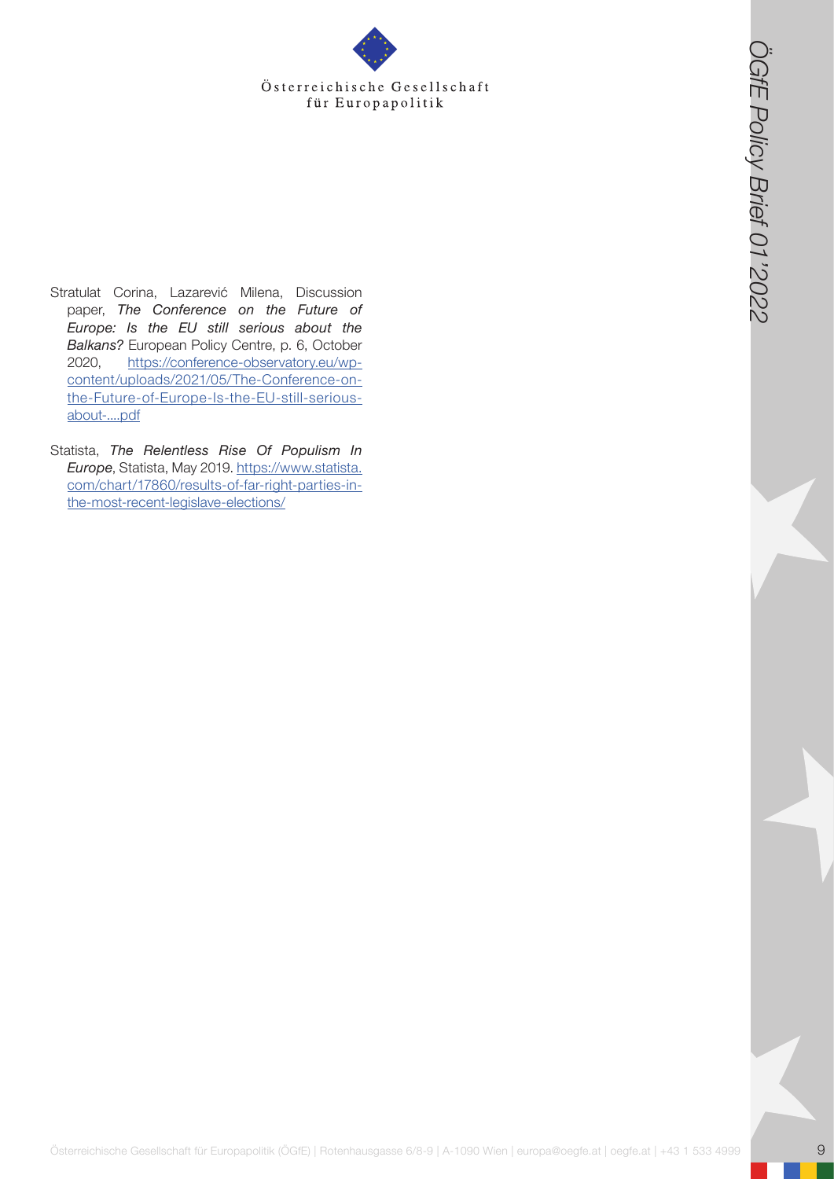- Österreichische Gesellschaft<br>
Cerreichische Gesellschaft für Europapolitik<br>
Cerreichische Gesellschaft für Europapolitik<br>
Gesellschaft für Europapolitik (ÖGfe) | europapolitik (ÖGfe) | europapolitik<br>
Consider at De Consi Stratulat Corina, Lazarević Milena, Discussion paper, *The Conference on the Future of Europe: Is the EU still serious about the Balkans?* European Policy Centre, p. 6, October 2020, [https://conference-observatory.eu/wp](https://conference-observatory.eu/wp-content/uploads/2021/05/The-Conference-on-the-Future-of-Europe-Is-the-EU-still-serious-about-....pdf)[content/uploads/2021/05/The-Conference-on](https://conference-observatory.eu/wp-content/uploads/2021/05/The-Conference-on-the-Future-of-Europe-Is-the-EU-still-serious-about-....pdf)[the-Future-of-Europe-Is-the-EU-still-serious](https://conference-observatory.eu/wp-content/uploads/2021/05/The-Conference-on-the-Future-of-Europe-Is-the-EU-still-serious-about-....pdf)[about-....pdf](https://conference-observatory.eu/wp-content/uploads/2021/05/The-Conference-on-the-Future-of-Europe-Is-the-EU-still-serious-about-....pdf)
- Statista, *The Relentless Rise Of Populism In Europe*, Statista, May 2019. [https://www.statista.](https://www.statista.com/chart/17860/results-of-far-right-parties-in-the-most-recent-legislave-elect) [com/chart/17860/results-of-far-right-parties-in](https://www.statista.com/chart/17860/results-of-far-right-parties-in-the-most-recent-legislave-elect)[the-most-recent-legislave-elections/](https://www.statista.com/chart/17860/results-of-far-right-parties-in-the-most-recent-legislave-elect)